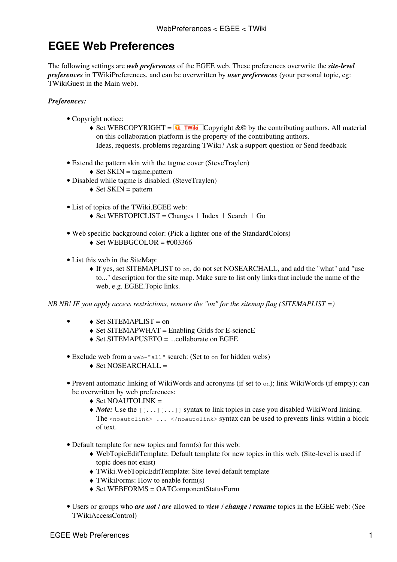## **EGEE Web Preferences**

The following settings are *web preferences* of the [EGEE](https://twiki.cern.ch/twiki/bin/view/EGEE/WebHome) web. These preferences overwrite the *site-level preferences* in [TWikiPreferences,](https://twiki.cern.ch/twiki/bin/view/TWiki/TWikiPreferences) and can be overwritten by *user preferences* (your personal topic, eg: [TWikiGuest](https://twiki.cern.ch/twiki/bin/view/Main/TWikiGuest) in the [Main](https://twiki.cern.ch/twiki/bin/view/Main/WebHome) web).

## *Preferences:*

- Copyright notice:
	- Set WEBCOPYRIGHT =  $\blacksquare$  Twiki Copyright &© by the contributing authors. All material on this collaboration platform is the property of the contributing authors. Ideas, requests, problems regarding TWiki? [Ask a support question](https://twiki.cern.ch/twiki/bin/view/Support/WebHome) or [Send feedback](mailto:twtool.support@cern.ch?subject=TWiki Feedback on EGEE.WebPreferences)
- Extend the pattern skin with the tagme cover ([SteveTraylen](https://twiki.cern.ch/twiki/bin/view/Main/SteveTraylen))
	- $\triangleleft$  Set SKIN = tagme, pattern
- Disabled while tagme is disabled. ([SteveTraylen](https://twiki.cern.ch/twiki/bin/view/Main/SteveTraylen))
	- $\triangleleft$  Set SKIN = pattern
- List of topics of the TWiki.EGEE web:
	- $\triangle$  Set WEBTOPICLIST = [Changes](https://twiki.cern.ch/twiki/bin/view/EGEE/WebChanges) | [Index](https://twiki.cern.ch/twiki/bin/view/EGEE/WebIndex) | [Search](https://twiki.cern.ch/twiki/bin/view/EGEE/WebSearch) | Go
- Web specific background color: (Pick a lighter one of the [StandardColors\)](https://twiki.cern.ch/twiki/bin/view/TWiki/StandardColors)  $\triangle$  Set WEBBGCOLOR = #003366
- List this web in the [SiteMap](https://twiki.cern.ch/twiki/bin/view/TWiki/SiteMap):
	- If yes, set SITEMAPLIST to on, do not set NOSEARCHALL, and add the "what" and "use ♦ to..." description for the site map. Make sure to list only links that include the name of the web, e.g. EGEE.Topic links.

*NB NB! IF you apply access restrictions, remove the "on" for the sitemap flag (SITEMAPLIST =)*

- $\triangle$  Set SITEMAPLIST = on •
	- $\triangle$  Set SITEMAPWHAT = Enabling Grids for E-sciencE
	- ♦ Set SITEMAPUSETO = ...collaborate on EGEE
- Exclude web from a web="all" search: (Set to on for hidden webs)
	- $\triangle$  Set NOSEARCHALL =
- Prevent automatic linking of [WikiWords](https://twiki.cern.ch/twiki/bin/view/TWiki/WikiWord) and acronyms (if set to on); link WikiWords (if empty); can be overwritten by web preferences:
	- $\triangle$  Set NOAUTOLINK =
	- ◆ *Note*: Use the [[...][...]] syntax to link topics in case you disabled WikiWord linking. The <noautolink> ... </noautolink> syntax can be used to prevents links within a block of text.
- Default template for new topics and form(s) for this web:
	- [WebTopicEditTemplate](https://twiki.cern.ch/twiki/bin/edit/EGEE/WebTopicEditTemplate?topicparent=EGEE.WebPreferences;nowysiwyg=1): Default template for new topics in this web. (Site-level is used if ♦ topic does not exist)
	- ♦ [TWiki.WebTopicEditTemplate:](https://twiki.cern.ch/twiki/bin/view/TWiki/WebTopicEditTemplate) Site-level default template
	- $\triangle$  [TWikiForms:](https://twiki.cern.ch/twiki/bin/view/TWiki/TWikiForms) How to enable form(s)
	- ♦ Set WEBFORMS = [OATComponentStatusForm](https://twiki.cern.ch/twiki/bin/view/EGEE/OATComponentStatusForm)
- Users or groups who *are not* / *are* allowed to *view* / *change* / *rename* topics in the EGEE web: (See [TWikiAccessControl\)](https://twiki.cern.ch/twiki/bin/view/TWiki/TWikiAccessControl)